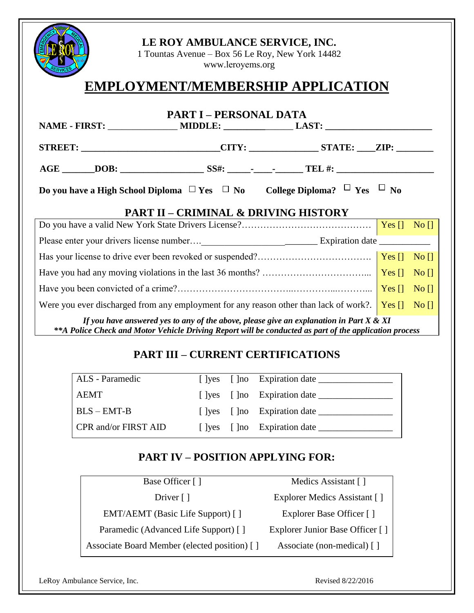| LE ROY AMBULANCE SERVICE, INC.<br>1 Tountas Avenue – Box 56 Le Roy, New York 14482<br>www.leroyems.org |                               |                                                 |  |  |
|--------------------------------------------------------------------------------------------------------|-------------------------------|-------------------------------------------------|--|--|
| <b>EMPLOYMENT/MEMBERSHIP APPLICATION</b>                                                               |                               |                                                 |  |  |
|                                                                                                        | <b>PART I – PERSONAL DATA</b> |                                                 |  |  |
|                                                                                                        |                               |                                                 |  |  |
| STREET: _______________________________CITY: ________________STATE: _____ZIP: __________               |                               |                                                 |  |  |
|                                                                                                        |                               |                                                 |  |  |
| Do you have a High School Diploma $\Box$ Yes $\Box$ No College Diploma? $\Box$ Yes $\Box$ No           |                               |                                                 |  |  |
|                                                                                                        |                               | <b>PART II - CRIMINAL &amp; DRIVING HISTORY</b> |  |  |
|                                                                                                        |                               |                                                 |  |  |
|                                                                                                        |                               |                                                 |  |  |
|                                                                                                        |                               |                                                 |  |  |

Have you had any moving violations in the last 36 months? ……………………………………….... | Yes  $\left| \right|$  No  $\left| \right|$ Have you been convicted of a crime?…………………………………………………………………………  $Yes []-No []$ Were you ever discharged from any employment for any reason other than lack of work?. **Yes**  $\begin{bmatrix} 1 & No \\ \end{bmatrix}$ 

*If you have answered yes to any of the above, please give an explanation in Part X & XI \*\*A Police Check and Motor Vehicle Driving Report will be conducted as part of the application process*

# **PART III – CURRENT CERTIFICATIONS**

| <b>ALS</b> - Paramedic |  |                                        |
|------------------------|--|----------------------------------------|
| <b>AEMT</b>            |  | [ ]yes [ ]no Expiration date _________ |
| $BLS - EMT-B$          |  |                                        |
| CPR and/or FIRST AID   |  | [ ]yes [ ]no Expiration date ______    |

# **PART IV – POSITION APPLYING FOR:**

| Base Officer []                              | Medics Assistant []             |
|----------------------------------------------|---------------------------------|
| Driver $\lceil \cdot \rceil$                 | Explorer Medics Assistant []    |
| EMT/AEMT (Basic Life Support) []             | Explorer Base Officer []        |
| Paramedic (Advanced Life Support) []         | Explorer Junior Base Officer [] |
| Associate Board Member (elected position) [] | Associate (non-medical) []      |
|                                              |                                 |

LeRoy Ambulance Service, Inc. **Example 2018** 22/2016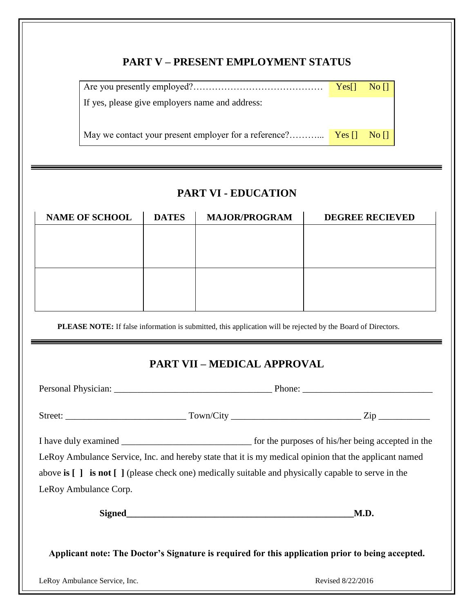## **PART V – PRESENT EMPLOYMENT STATUS**

|                                                 | Yes[] No [] |  |
|-------------------------------------------------|-------------|--|
| If yes, please give employers name and address: |             |  |
|                                                 |             |  |
|                                                 |             |  |

# **PART VI - EDUCATION**

| <b>NAME OF SCHOOL</b> | <b>DATES</b> | <b>MAJOR/PROGRAM</b> | <b>DEGREE RECIEVED</b> |
|-----------------------|--------------|----------------------|------------------------|
|                       |              |                      |                        |
|                       |              |                      |                        |
|                       |              |                      |                        |
|                       |              |                      |                        |
|                       |              |                      |                        |
|                       |              |                      |                        |

**PLEASE NOTE:** If false information is submitted, this application will be rejected by the Board of Directors.

# **PART VII – MEDICAL APPROVAL**

Personal Physician: \_\_\_\_\_\_\_\_\_\_\_\_\_\_\_\_\_\_\_\_\_\_\_\_\_\_\_\_\_\_\_\_\_\_ Phone: \_\_\_\_\_\_\_\_\_\_\_\_\_\_\_\_\_\_\_\_\_\_\_\_\_\_\_\_ Street: \_\_\_\_\_\_\_\_\_\_\_\_\_\_\_\_\_\_\_\_\_\_\_\_\_\_ Town/City \_\_\_\_\_\_\_\_\_\_\_\_\_\_\_\_\_\_\_\_\_\_\_\_\_\_\_\_ Zip \_\_\_\_\_\_\_\_\_\_\_ I have duly examined \_\_\_\_\_\_\_\_\_\_\_\_\_\_\_\_\_\_\_\_\_\_\_\_\_\_\_\_ for the purposes of his/her being accepted in the LeRoy Ambulance Service, Inc. and hereby state that it is my medical opinion that the applicant named above **is [ ] is not [ ]** (please check one) medically suitable and physically capable to serve in the LeRoy Ambulance Corp. Signed M.D.

**Applicant note: The Doctor's Signature is required for this application prior to being accepted.**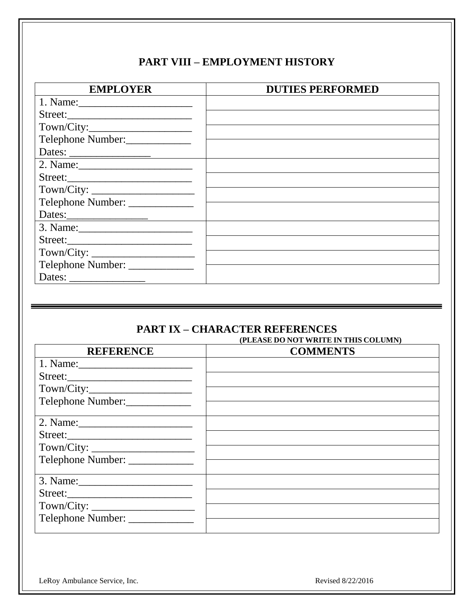# **PART VIII – EMPLOYMENT HISTORY**

| <b>EMPLOYER</b>                 | <b>DUTIES PERFORMED</b> |
|---------------------------------|-------------------------|
|                                 |                         |
|                                 |                         |
|                                 |                         |
| Telephone Number:               |                         |
|                                 |                         |
|                                 |                         |
| Street:                         |                         |
|                                 |                         |
| Telephone Number: _____________ |                         |
| Dates:                          |                         |
|                                 |                         |
|                                 |                         |
|                                 |                         |
| Telephone Number: _____________ |                         |
|                                 |                         |

#### **PART IX – CHARACTER REFERENCES (PLEASE DO NOT WRITE IN THIS COLUMN)**

| <b>REFERENCE</b>                              | <b>COMMENTS</b> |
|-----------------------------------------------|-----------------|
|                                               |                 |
| Street:                                       |                 |
|                                               |                 |
| Telephone Number:                             |                 |
|                                               |                 |
|                                               |                 |
|                                               |                 |
| Telephone Number:                             |                 |
| Town/City:<br>Telephone Number: _____________ |                 |

LeRoy Ambulance Service, Inc. **Revised 8/22/2016**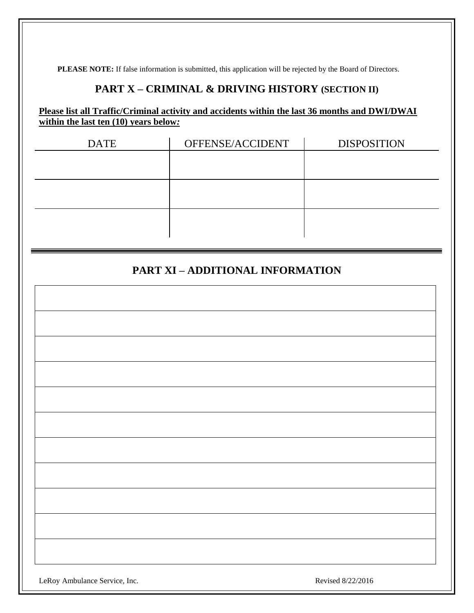**PLEASE NOTE:** If false information is submitted, this application will be rejected by the Board of Directors.

## **PART X – CRIMINAL & DRIVING HISTORY (SECTION II)**

#### **Please list all Traffic/Criminal activity and accidents within the last 36 months and DWI/DWAI within the last ten (10) years below***:*

| <b>DATE</b> | OFFENSE/ACCIDENT | <b>DISPOSITION</b> |
|-------------|------------------|--------------------|
|             |                  |                    |
|             |                  |                    |
|             |                  |                    |
|             |                  |                    |
|             |                  |                    |
|             |                  |                    |
|             |                  |                    |

# **PART XI – ADDITIONAL INFORMATION**

| LeRoy Ambulance Service, Inc. | Revised 8/22/2016 |
|-------------------------------|-------------------|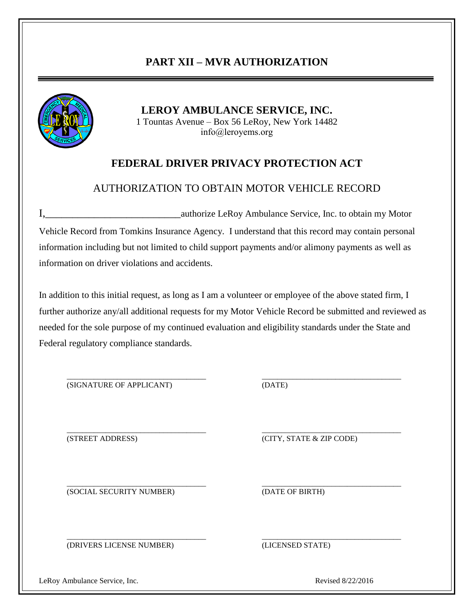# **PART XII – MVR AUTHORIZATION**



**LEROY AMBULANCE SERVICE, INC.** 1 Tountas Avenue – Box 56 LeRoy, New York 14482 info@leroyems.org

## **FEDERAL DRIVER PRIVACY PROTECTION ACT**

### AUTHORIZATION TO OBTAIN MOTOR VEHICLE RECORD

I,\_\_\_\_\_\_\_\_\_\_\_\_\_\_\_\_\_\_\_\_\_\_\_\_\_authorize LeRoy Ambulance Service, Inc. to obtain my Motor Vehicle Record from Tomkins Insurance Agency. I understand that this record may contain personal information including but not limited to child support payments and/or alimony payments as well as information on driver violations and accidents.

In addition to this initial request, as long as I am a volunteer or employee of the above stated firm, I further authorize any/all additional requests for my Motor Vehicle Record be submitted and reviewed as needed for the sole purpose of my continued evaluation and eligibility standards under the State and Federal regulatory compliance standards.

\_\_\_\_\_\_\_\_\_\_\_\_\_\_\_\_\_\_\_\_\_\_\_\_\_\_\_\_\_\_\_\_\_\_\_\_ \_\_\_\_\_\_\_\_\_\_\_\_\_\_\_\_\_\_\_\_\_\_\_\_\_\_\_\_\_\_\_\_\_\_\_\_

(SIGNATURE OF APPLICANT) (DATE)

\_\_\_\_\_\_\_\_\_\_\_\_\_\_\_\_\_\_\_\_\_\_\_\_\_\_\_\_\_\_\_\_\_\_\_\_ \_\_\_\_\_\_\_\_\_\_\_\_\_\_\_\_\_\_\_\_\_\_\_\_\_\_\_\_\_\_\_\_\_\_\_\_ (STREET ADDRESS) (CITY, STATE & ZIP CODE)

(SOCIAL SECURITY NUMBER) (DATE OF BIRTH)

\_\_\_\_\_\_\_\_\_\_\_\_\_\_\_\_\_\_\_\_\_\_\_\_\_\_\_\_\_\_\_\_\_\_\_\_ \_\_\_\_\_\_\_\_\_\_\_\_\_\_\_\_\_\_\_\_\_\_\_\_\_\_\_\_\_\_\_\_\_\_\_\_

(DRIVERS LICENSE NUMBER) (LICENSED STATE)

\_\_\_\_\_\_\_\_\_\_\_\_\_\_\_\_\_\_\_\_\_\_\_\_\_\_\_\_\_\_\_\_\_\_\_\_ \_\_\_\_\_\_\_\_\_\_\_\_\_\_\_\_\_\_\_\_\_\_\_\_\_\_\_\_\_\_\_\_\_\_\_\_

LeRoy Ambulance Service, Inc. **Example 2018** 22/2016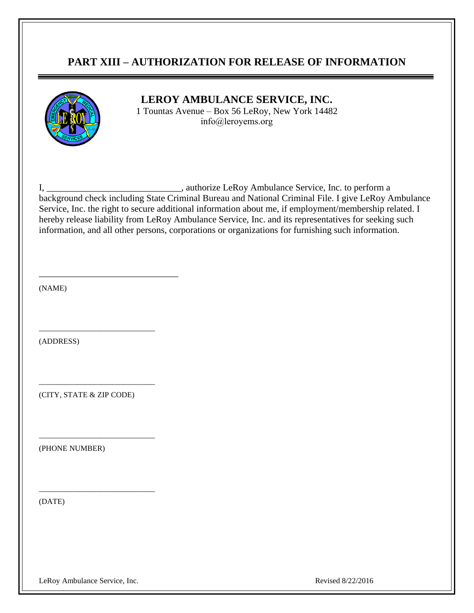### **PART XIII – AUTHORIZATION FOR RELEASE OF INFORMATION**



### **LEROY AMBULANCE SERVICE, INC.**

1 Tountas Avenue – Box 56 LeRoy, New York 14482 info@leroyems.org

I, \_\_\_\_\_\_\_\_\_\_\_\_\_\_\_\_\_\_\_\_\_\_\_\_\_\_\_\_\_, authorize LeRoy Ambulance Service, Inc. to perform a background check including State Criminal Bureau and National Criminal File. I give LeRoy Ambulance Service, Inc. the right to secure additional information about me, if employment/membership related. I hereby release liability from LeRoy Ambulance Service, Inc. and its representatives for seeking such information, and all other persons, corporations or organizations for furnishing such information.

(NAME)

(ADDRESS)

(CITY, STATE & ZIP CODE)

\_\_\_\_\_\_\_\_\_\_\_\_\_\_\_\_\_\_\_\_\_\_\_\_\_\_\_\_\_\_

\_\_\_\_\_\_\_\_\_\_\_\_\_\_\_\_\_\_\_\_\_\_\_\_\_\_\_\_\_\_

\_\_\_\_\_\_\_\_\_\_\_\_\_\_\_\_\_\_\_\_\_\_\_\_\_\_\_\_\_\_

\_\_\_\_\_\_\_\_\_\_\_\_\_\_\_\_\_\_\_\_\_\_\_\_\_\_\_\_\_\_

\_\_\_\_\_\_\_\_\_\_\_\_\_\_\_\_\_\_\_\_\_\_\_\_\_\_\_\_\_\_

(PHONE NUMBER)

(DATE)

LeRoy Ambulance Service, Inc. **Example 2018** 22/2016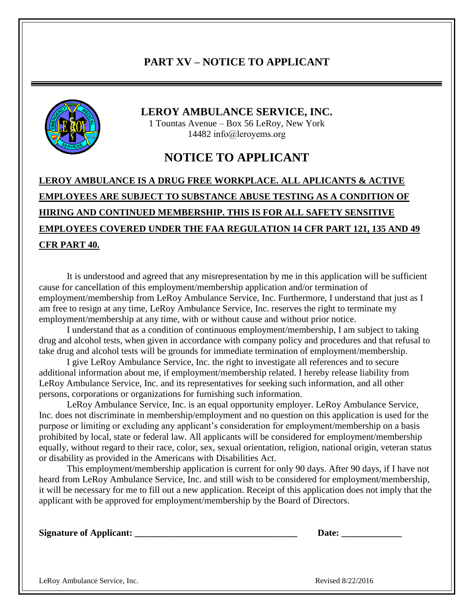## **PART XV – NOTICE TO APPLICANT**



#### **LEROY AMBULANCE SERVICE, INC.**

1 Tountas Avenue – Box 56 LeRoy, New York 14482 info@leroyems.org

## **NOTICE TO APPLICANT**

# **LEROY AMBULANCE IS A DRUG FREE WORKPLACE. ALL APLICANTS & ACTIVE EMPLOYEES ARE SUBJECT TO SUBSTANCE ABUSE TESTING AS A CONDITION OF HIRING AND CONTINUED MEMBERSHIP. THIS IS FOR ALL SAFETY SENSITIVE EMPLOYEES COVERED UNDER THE FAA REGULATION 14 CFR PART 121, 135 AND 49 CFR PART 40.**

It is understood and agreed that any misrepresentation by me in this application will be sufficient cause for cancellation of this employment/membership application and/or termination of employment/membership from LeRoy Ambulance Service, Inc. Furthermore, I understand that just as I am free to resign at any time, LeRoy Ambulance Service, Inc. reserves the right to terminate my employment/membership at any time, with or without cause and without prior notice.

I understand that as a condition of continuous employment/membership, I am subject to taking drug and alcohol tests, when given in accordance with company policy and procedures and that refusal to take drug and alcohol tests will be grounds for immediate termination of employment/membership.

I give LeRoy Ambulance Service, Inc. the right to investigate all references and to secure additional information about me, if employment/membership related. I hereby release liability from LeRoy Ambulance Service, Inc. and its representatives for seeking such information, and all other persons, corporations or organizations for furnishing such information.

LeRoy Ambulance Service, Inc. is an equal opportunity employer. LeRoy Ambulance Service, Inc. does not discriminate in membership/employment and no question on this application is used for the purpose or limiting or excluding any applicant's consideration for employment/membership on a basis prohibited by local, state or federal law. All applicants will be considered for employment/membership equally, without regard to their race, color, sex, sexual orientation, religion, national origin, veteran status or disability as provided in the Americans with Disabilities Act.

This employment/membership application is current for only 90 days. After 90 days, if I have not heard from LeRoy Ambulance Service, Inc. and still wish to be considered for employment/membership, it will be necessary for me to fill out a new application. Receipt of this application does not imply that the applicant with be approved for employment/membership by the Board of Directors.

| <b>Signature of Applicant:</b> |  | Date: |
|--------------------------------|--|-------|
|                                |  |       |

LeRoy Ambulance Service, Inc. 2008 2012 2016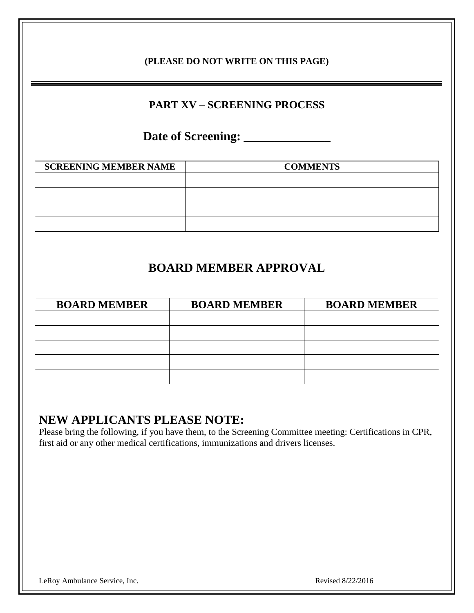### **(PLEASE DO NOT WRITE ON THIS PAGE)**

# **PART XV – SCREENING PROCESS**

# **Date of Screening: \_\_\_\_\_\_\_\_\_\_\_\_\_\_**

| <b>COMMENTS</b> |
|-----------------|
|                 |
|                 |
|                 |
|                 |
|                 |

# **BOARD MEMBER APPROVAL**

| <b>BOARD MEMBER</b> | <b>BOARD MEMBER</b> | <b>BOARD MEMBER</b> |
|---------------------|---------------------|---------------------|
|                     |                     |                     |
|                     |                     |                     |
|                     |                     |                     |
|                     |                     |                     |
|                     |                     |                     |

# **NEW APPLICANTS PLEASE NOTE:**

Please bring the following, if you have them, to the Screening Committee meeting: Certifications in CPR, first aid or any other medical certifications, immunizations and drivers licenses.